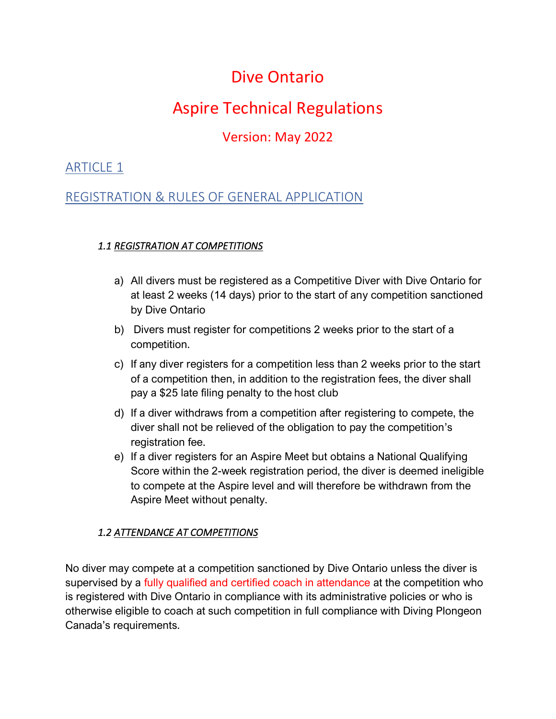# Dive Ontario

# Aspire Technical Regulations

# Version: May 2022

### ARTICLE 1

### REGISTRATION & RULES OF GENERAL APPLICATION

#### *1.1 REGISTRATION AT COMPETITIONS*

- a) All divers must be registered as a Competitive Diver with Dive Ontario for at least 2 weeks (14 days) prior to the start of any competition sanctioned by Dive Ontario
- b) Divers must register for competitions 2 weeks prior to the start of a competition.
- c) If any diver registers for a competition less than 2 weeks prior to the start of a competition then, in addition to the registration fees, the diver shall pay a \$25 late filing penalty to the host club
- d) If a diver withdraws from a competition after registering to compete, the diver shall not be relieved of the obligation to pay the competition's registration fee.
- e) If a diver registers for an Aspire Meet but obtains a National Qualifying Score within the 2-week registration period, the diver is deemed ineligible to compete at the Aspire level and will therefore be withdrawn from the Aspire Meet without penalty.

### *1.2 ATTENDANCE AT COMPETITIONS*

No diver may compete at a competition sanctioned by Dive Ontario unless the diver is supervised by a fully qualified and certified coach in attendance at the competition who is registered with Dive Ontario in compliance with its administrative policies or who is otherwise eligible to coach at such competition in full compliance with Diving Plongeon Canada's requirements.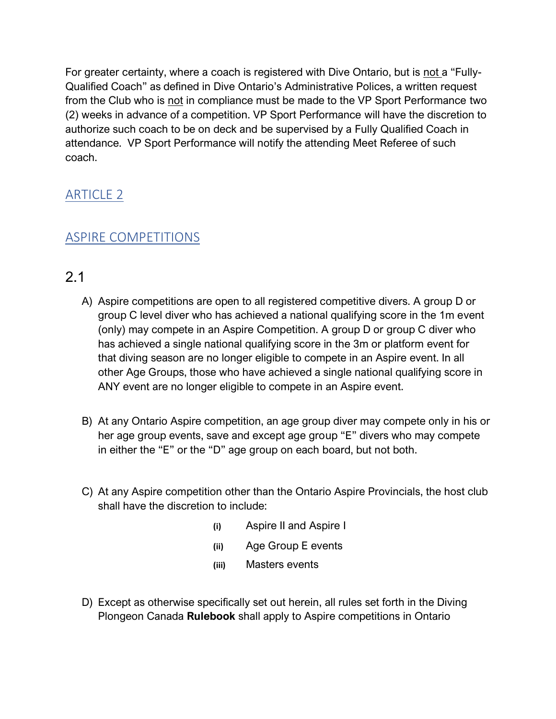For greater certainty, where a coach is registered with Dive Ontario, but is not a "Fully-Qualified Coach" as defined in Dive Ontario's Administrative Polices, a written request from the Club who is not in compliance must be made to the VP Sport Performance two (2) weeks in advance of a competition. VP Sport Performance will have the discretion to authorize such coach to be on deck and be supervised by a Fully Qualified Coach in attendance. VP Sport Performance will notify the attending Meet Referee of such coach.

## ARTICLE 2

## ASPIRE COMPETITIONS

# 2.1

- A) Aspire competitions are open to all registered competitive divers. A group D or group C level diver who has achieved a national qualifying score in the 1m event (only) may compete in an Aspire Competition. A group D or group C diver who has achieved a single national qualifying score in the 3m or platform event for that diving season are no longer eligible to compete in an Aspire event. In all other Age Groups, those who have achieved a single national qualifying score in ANY event are no longer eligible to compete in an Aspire event.
- B) At any Ontario Aspire competition, an age group diver may compete only in his or her age group events, save and except age group "E" divers who may compete in either the "E" or the "D" age group on each board, but not both.
- C) At any Aspire competition other than the Ontario Aspire Provincials, the host club shall have the discretion to include:
	- **(i)** Aspire II and Aspire I
	- **(ii)** Age Group E events
	- **(iii)** Masters events
- D) Except as otherwise specifically set out herein, all rules set forth in the Diving Plongeon Canada **Rulebook** shall apply to Aspire competitions in Ontario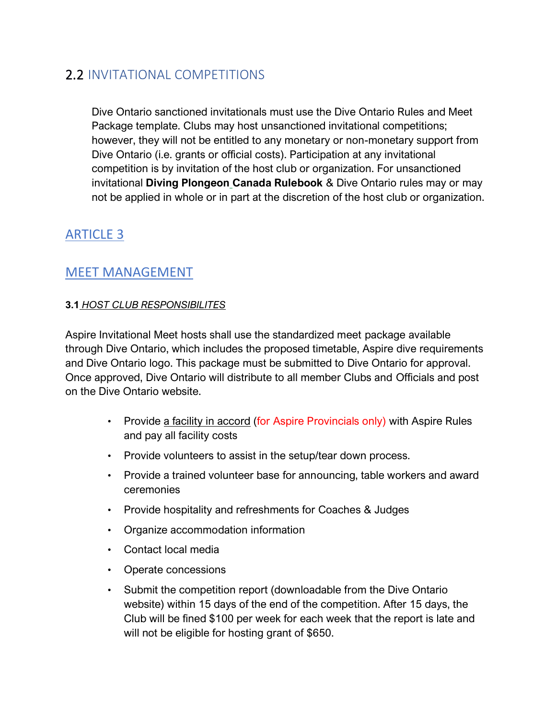# 2.2 INVITATIONAL COMPETITIONS

Dive Ontario sanctioned invitationals must use the Dive Ontario Rules and Meet Package template. Clubs may host unsanctioned invitational competitions; however, they will not be entitled to any monetary or non-monetary support from Dive Ontario (i.e. grants or official costs). Participation at any invitational competition is by invitation of the host club or organization. For unsanctioned invitational **Diving Plongeon Canada Rulebook** & Dive Ontario rules may or may not be applied in whole or in part at the discretion of the host club or organization.

# ARTICLE 3

### MEET MANAGEMENT

#### **3.1** *HOST CLUB RESPONSIBILITES*

Aspire Invitational Meet hosts shall use the standardized meet package available through Dive Ontario, which includes the proposed timetable, Aspire dive requirements and Dive Ontario logo. This package must be submitted to Dive Ontario for approval. Once approved, Dive Ontario will distribute to all member Clubs and Officials and post on the Dive Ontario website.

- Provide a facility in accord (for Aspire Provincials only) with Aspire Rules and pay all facility costs
- Provide volunteers to assist in the setup/tear down process.
- Provide a trained volunteer base for announcing, table workers and award ceremonies
- Provide hospitality and refreshments for Coaches & Judges
- Organize accommodation information
- Contact local media
- Operate concessions
- Submit the competition report (downloadable from the Dive Ontario website) within 15 days of the end of the competition. After 15 days, the Club will be fined \$100 per week for each week that the report is late and will not be eligible for hosting grant of \$650.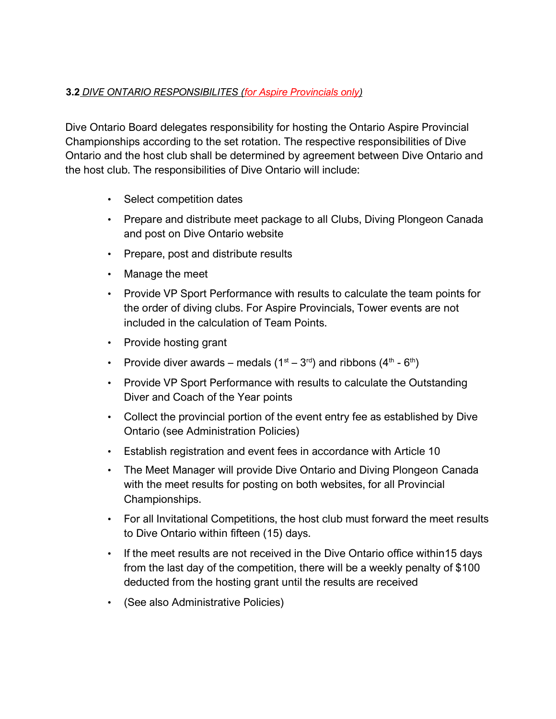#### **3.2** *DIVE ONTARIO RESPONSIBILITES (for Aspire Provincials only)*

Dive Ontario Board delegates responsibility for hosting the Ontario Aspire Provincial Championships according to the set rotation. The respective responsibilities of Dive Ontario and the host club shall be determined by agreement between Dive Ontario and the host club. The responsibilities of Dive Ontario will include:

- Select competition dates
- Prepare and distribute meet package to all Clubs, Diving Plongeon Canada and post on Dive Ontario website
- Prepare, post and distribute results
- Manage the meet
- Provide VP Sport Performance with results to calculate the team points for the order of diving clubs. For Aspire Provincials, Tower events are not included in the calculation of Team Points.
- Provide hosting grant
- Provide diver awards medals  $(1^{st} 3^{rd})$  and ribbons  $(4^{th} 6^{th})$
- Provide VP Sport Performance with results to calculate the Outstanding Diver and Coach of the Year points
- Collect the provincial portion of the event entry fee as established by Dive Ontario (see Administration Policies)
- Establish registration and event fees in accordance with Article 10
- The Meet Manager will provide Dive Ontario and Diving Plongeon Canada with the meet results for posting on both websites, for all Provincial Championships.
- For all Invitational Competitions, the host club must forward the meet results to Dive Ontario within fifteen (15) days.
- If the meet results are not received in the Dive Ontario office within15 days from the last day of the competition, there will be a weekly penalty of \$100 deducted from the hosting grant until the results are received
- (See also Administrative Policies)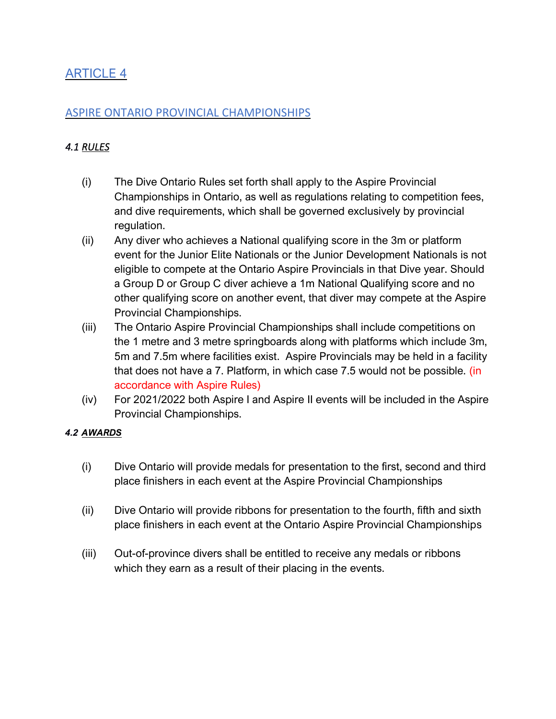### ARTICLE 4

### ASPIRE ONTARIO PROVINCIAL CHAMPIONSHIPS

### *4.1 RULES*

- (i) The Dive Ontario Rules set forth shall apply to the Aspire Provincial Championships in Ontario, as well as regulations relating to competition fees, and dive requirements, which shall be governed exclusively by provincial regulation.
- (ii) Any diver who achieves a National qualifying score in the 3m or platform event for the Junior Elite Nationals or the Junior Development Nationals is not eligible to compete at the Ontario Aspire Provincials in that Dive year. Should a Group D or Group C diver achieve a 1m National Qualifying score and no other qualifying score on another event, that diver may compete at the Aspire Provincial Championships.
- (iii) The Ontario Aspire Provincial Championships shall include competitions on the 1 metre and 3 metre springboards along with platforms which include 3m, 5m and 7.5m where facilities exist. Aspire Provincials may be held in a facility that does not have a 7. Platform, in which case 7.5 would not be possible. (in accordance with Aspire Rules)
- (iv) For 2021/2022 both Aspire I and Aspire II events will be included in the Aspire Provincial Championships.

#### *4.2 AWARDS*

- (i) Dive Ontario will provide medals for presentation to the first, second and third place finishers in each event at the Aspire Provincial Championships
- (ii) Dive Ontario will provide ribbons for presentation to the fourth, fifth and sixth place finishers in each event at the Ontario Aspire Provincial Championships
- (iii) Out-of-province divers shall be entitled to receive any medals or ribbons which they earn as a result of their placing in the events.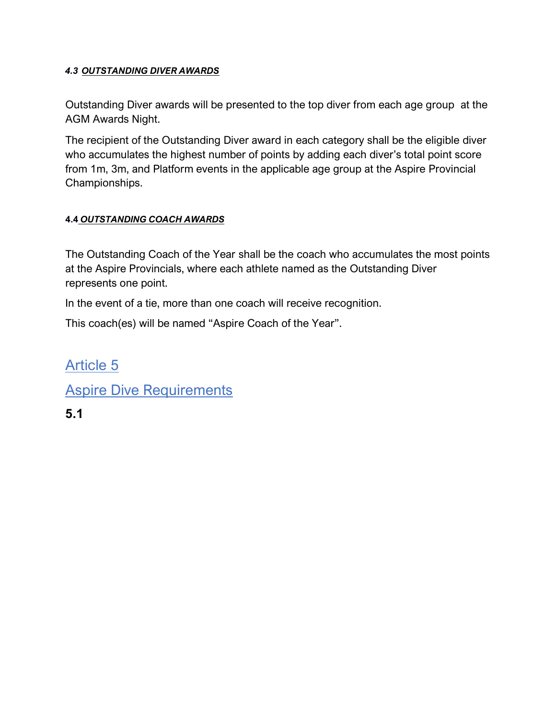#### *4.3 OUTSTANDING DIVER AWARDS*

Outstanding Diver awards will be presented to the top diver from each age group at the AGM Awards Night.

The recipient of the Outstanding Diver award in each category shall be the eligible diver who accumulates the highest number of points by adding each diver's total point score from 1m, 3m, and Platform events in the applicable age group at the Aspire Provincial Championships.

#### **4.4** *OUTSTANDING COACH AWARDS*

The Outstanding Coach of the Year shall be the coach who accumulates the most points at the Aspire Provincials, where each athlete named as the Outstanding Diver represents one point.

In the event of a tie, more than one coach will receive recognition.

This coach(es) will be named "Aspire Coach of the Year".

Article 5 **Aspire Dive Requirements 5.1**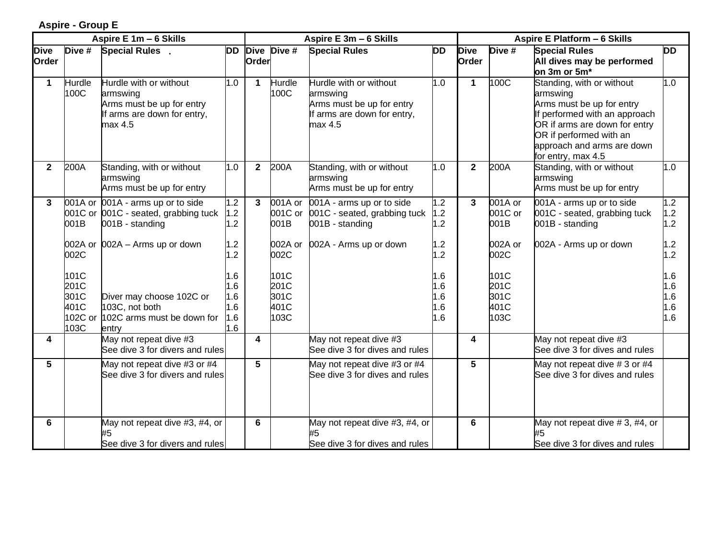#### **Aspire - Group E**

|                      |                                      | Aspire E 1m - 6 Skills                                                                                    |                                        | Aspire E 3m - 6 Skills |                                      |                                                                                                           |                                 |                      | Aspire E Platform - 6 Skills         |                                                                                                                                                                                                                     |                                 |  |
|----------------------|--------------------------------------|-----------------------------------------------------------------------------------------------------------|----------------------------------------|------------------------|--------------------------------------|-----------------------------------------------------------------------------------------------------------|---------------------------------|----------------------|--------------------------------------|---------------------------------------------------------------------------------------------------------------------------------------------------------------------------------------------------------------------|---------------------------------|--|
| <b>Dive</b><br>Order | Dive #                               | Special Rules.                                                                                            | <b>DD</b>                              | Order                  | Dive Dive #                          | <b>Special Rules</b>                                                                                      | <b>DD</b>                       | <b>Dive</b><br>Order | Dive #                               | <b>Special Rules</b><br>All dives may be performed<br>on 3m or 5m*                                                                                                                                                  | <b>DD</b>                       |  |
| 1                    | Hurdle<br>100C                       | Hurdle with or without<br>armswing<br>Arms must be up for entry<br>If arms are down for entry,<br>max 4.5 | 1.0                                    | $\mathbf 1$            | Hurdle<br>100C                       | Hurdle with or without<br>armswing<br>Arms must be up for entry<br>If arms are down for entry,<br>max 4.5 | 1.0                             | $\mathbf{1}$         | 100C                                 | Standing, with or without<br>armswing<br>Arms must be up for entry<br>If performed with an approach<br>OR if arms are down for entry<br>OR if performed with an<br>approach and arms are down<br>for entry, max 4.5 | 1.0                             |  |
| $\mathbf{2}$         | 200A                                 | Standing, with or without<br>armswing<br>Arms must be up for entry                                        | 1.0                                    | $\mathbf{2}$           | 200A                                 | Standing, with or without<br>armswing<br>Arms must be up for entry                                        | 1.0                             | $\overline{2}$       | 200A                                 | Standing, with or without<br>armswing<br>Arms must be up for entry                                                                                                                                                  | 1.0                             |  |
| 3                    | 001B                                 | 001A or 001A - arms up or to side<br>001C or 001C - seated, grabbing tuck<br>001B - standing              | 1.2<br>1.2 <sub>2</sub><br>1.2         | 3                      | 001A or<br>001B                      | 001A - arms up or to side<br>001C or 001C - seated, grabbing tuck<br>001B - standing                      | 1.2<br>1.2<br>1.2               | 3                    | 001A or<br>001C or<br>001B           | 001A - arms up or to side<br>001C - seated, grabbing tuck<br>001B - standing                                                                                                                                        | 1.2<br>1.2<br>1.2               |  |
|                      | 002C                                 | 002A or 002A - Arms up or down                                                                            | 1.2<br>1.2                             |                        | 002A or<br>002C                      | 002A - Arms up or down                                                                                    | 1.2<br>1.2                      |                      | 002A or<br>002C                      | 002A - Arms up or down                                                                                                                                                                                              | 1.2<br>1.2                      |  |
|                      | 101C<br>201C<br>301C<br>401C<br>103C | Diver may choose 102C or<br>103C, not both<br>102C or 102C arms must be down for<br>entry                 | 1.6<br>1.6<br>1.6<br>1.6<br>0.1<br>1.6 |                        | 101C<br>201C<br>301C<br>401C<br>103C |                                                                                                           | 1.6<br>1.6<br>1.6<br>1.6<br>1.6 |                      | 101C<br>201C<br>301C<br>401C<br>103C |                                                                                                                                                                                                                     | 1.6<br>1.6<br>1.6<br>1.6<br>1.6 |  |
| 4                    |                                      | May not repeat dive #3<br>See dive 3 for divers and rules                                                 |                                        | 4                      |                                      | May not repeat dive #3<br>See dive 3 for dives and rules                                                  |                                 | 4                    |                                      | May not repeat dive #3<br>See dive 3 for dives and rules                                                                                                                                                            |                                 |  |
| 5                    |                                      | May not repeat dive #3 or #4<br>See dive 3 for divers and rules                                           |                                        | 5                      |                                      | May not repeat dive #3 or #4<br>See dive 3 for dives and rules                                            |                                 | 5                    |                                      | May not repeat dive #3 or #4<br>See dive 3 for dives and rules                                                                                                                                                      |                                 |  |
| 6                    |                                      | May not repeat dive #3, #4, or<br>#5<br>See dive 3 for divers and rules                                   |                                        | 6                      |                                      | May not repeat dive #3, #4, or<br>#5<br>See dive 3 for dives and rules                                    |                                 | 6                    |                                      | May not repeat dive #3, #4, or<br>#5<br>See dive 3 for dives and rules                                                                                                                                              |                                 |  |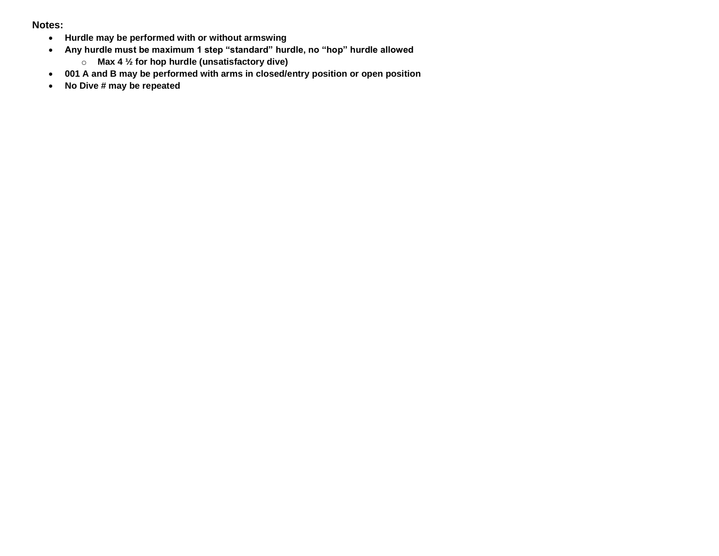#### **Notes:**

- **Hurdle may be performed with or without armswing**
- **Any hurdle must be maximum 1 step "standard" hurdle, no "hop" hurdle allowed**
	- o **Max 4 ½ for hop hurdle (unsatisfactory dive)**
- **001 A and B may be performed with arms in closed/entry position or open position**
- **No Dive # may be repeated**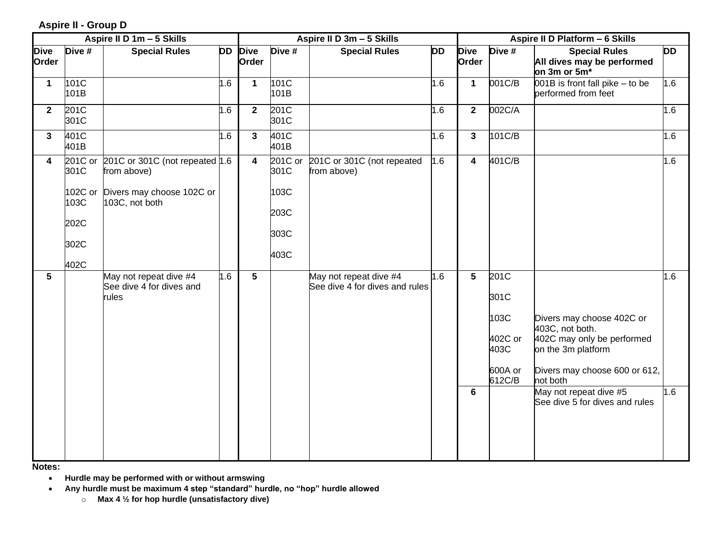**Aspire II - Group D**

|                      | Aspire II D 1m - 5 Skills                                  |                                                                                                |     |                      |                                                 | Aspire II D 3m - 5 Skills                                | Aspire II D Platform - 6 Skills |                         |                                                              |                                                                                                                                                                                                           |            |
|----------------------|------------------------------------------------------------|------------------------------------------------------------------------------------------------|-----|----------------------|-------------------------------------------------|----------------------------------------------------------|---------------------------------|-------------------------|--------------------------------------------------------------|-----------------------------------------------------------------------------------------------------------------------------------------------------------------------------------------------------------|------------|
| <b>Dive</b><br>Order | Dive #                                                     | <b>Special Rules</b>                                                                           | DD  | <b>Dive</b><br>Order | Dive #                                          | <b>Special Rules</b>                                     | DD                              | <b>Dive</b><br>Order    | Dive #                                                       | <b>Special Rules</b><br>All dives may be performed<br>on 3m or 5m*                                                                                                                                        | DD         |
| $\mathbf{1}$         | 101C<br>101B                                               |                                                                                                | 1.6 | $\mathbf{1}$         | 101C<br>101B                                    |                                                          | 1.6                             | $\mathbf{1}$            | 001C/B                                                       | 001B is front fall pike - to be<br>performed from feet                                                                                                                                                    | 1.6        |
| $\mathbf{2}$         | 201C<br>301C                                               |                                                                                                | 1.6 | $\mathbf{2}$         | 201C<br>301C                                    |                                                          | 1.6                             | $\mathbf{2}$            | 002C/A                                                       |                                                                                                                                                                                                           | 1.6        |
| $\mathbf{3}$         | 401C<br>401B                                               |                                                                                                | 1.6 | 3                    | 401C<br>401B                                    |                                                          | 1.6                             | $\overline{\mathbf{3}}$ | 101C/B                                                       |                                                                                                                                                                                                           | 1.6        |
| 4                    | 201C or<br>301C<br>102C or<br>103C<br>202C<br>302C<br>402C | 201C or 301C (not repeated $1.6$<br>from above)<br>Divers may choose 102C or<br>103C, not both |     | 4                    | 201C or<br>301C<br>103C<br>203C<br>303C<br>403C | 201C or 301C (not repeated<br>from above)                | 1.6                             | $\overline{\mathbf{4}}$ | 401C/B                                                       |                                                                                                                                                                                                           | 1.6        |
| 5                    |                                                            | May not repeat dive #4<br>See dive 4 for dives and<br>rules                                    | 1.6 | 5                    |                                                 | May not repeat dive #4<br>See dive 4 for dives and rules | 1.6                             | $5\phantom{.0}$<br>6    | 201C<br>301C<br>103C<br>402C or<br>403C<br>600A or<br>612C/B | Divers may choose 402C or<br>403C, not both.<br>402C may only be performed<br>on the 3m platform<br>Divers may choose 600 or 612,<br>not both<br>May not repeat dive #5<br>See dive 5 for dives and rules | 1.6<br>1.6 |

**Notes:** 

• **Hurdle may be performed with or without armswing** 

• **Any hurdle must be maximum 4 step "standard" hurdle, no "hop" hurdle allowed**

o **Max 4 ½ for hop hurdle (unsatisfactory dive)**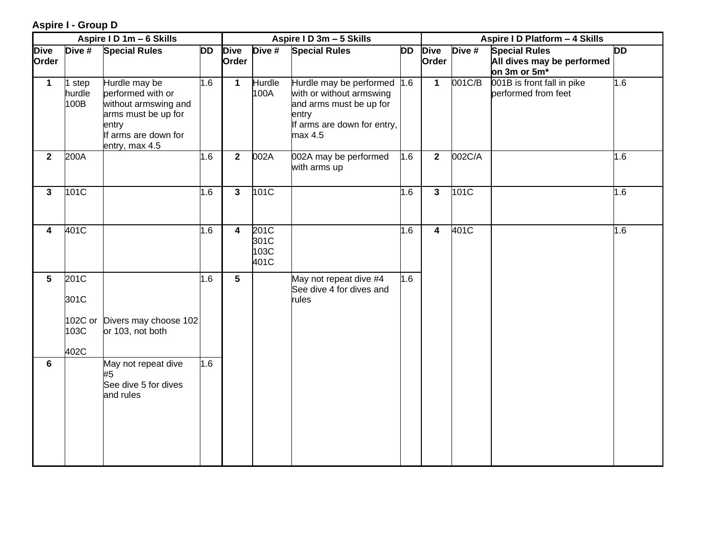#### **Aspire I - Group D**

|                      |                         | Aspire I D 1m - 6 Skills                                                                                                             |           |                         |                              | Aspire I D 3m - 5 Skills                                                                                                              |           | Aspire I D Platform - 4 Skills |        |                                                                    |           |
|----------------------|-------------------------|--------------------------------------------------------------------------------------------------------------------------------------|-----------|-------------------------|------------------------------|---------------------------------------------------------------------------------------------------------------------------------------|-----------|--------------------------------|--------|--------------------------------------------------------------------|-----------|
| <b>Dive</b><br>Order | $\overline{D}$ ive #    | <b>Special Rules</b>                                                                                                                 | <b>DD</b> | <b>Dive</b><br>Order    | Dive #                       | <b>Special Rules</b>                                                                                                                  | <b>DD</b> | <b>Dive</b><br>Order           | Dive # | <b>Special Rules</b><br>All dives may be performed<br>on 3m or 5m* | <b>DD</b> |
| $\mathbf 1$          | step<br>hurdle<br>100B  | Hurdle may be<br>performed with or<br>without armswing and<br>arms must be up for<br>entry<br>If arms are down for<br>entry, max 4.5 | 1.6       | $\mathbf{1}$            | Hurdle<br>100A               | Hurdle may be performed 1.6<br>with or without armswing<br>and arms must be up for<br>entry<br>If arms are down for entry,<br>max 4.5 |           | $\mathbf 1$                    | 001C/B | 001B is front fall in pike<br>performed from feet                  | 1.6       |
| $\overline{2}$       | 200A                    |                                                                                                                                      | 1.6       | $\overline{\mathbf{2}}$ | 002A                         | 002A may be performed<br>with arms up                                                                                                 | 1.6       | $\mathbf{2}$                   | 002C/A |                                                                    | 1.6       |
| $\mathbf{3}$         | 101C                    |                                                                                                                                      | 1.6       | $\overline{\mathbf{3}}$ | 101C                         |                                                                                                                                       | 1.6       | $\mathbf{3}$                   | 101C   |                                                                    | 1.6       |
| 4                    | 401C                    |                                                                                                                                      | 1.6       | 4                       | 201C<br>301C<br>103C<br>401C |                                                                                                                                       | 1.6       | $\overline{\mathbf{4}}$        | 401C   |                                                                    | 1.6       |
| $5\phantom{.0}$      | 201C<br>301C<br>102C or | Divers may choose 102                                                                                                                | 1.6       | $5\phantom{.0}$         |                              | May not repeat dive #4<br>See dive 4 for dives and<br>rules                                                                           | 1.6       |                                |        |                                                                    |           |
|                      | 103C<br>402C            | or 103, not both                                                                                                                     |           |                         |                              |                                                                                                                                       |           |                                |        |                                                                    |           |
| 6                    |                         | May not repeat dive<br>#5<br>See dive 5 for dives<br>and rules                                                                       | 1.6       |                         |                              |                                                                                                                                       |           |                                |        |                                                                    |           |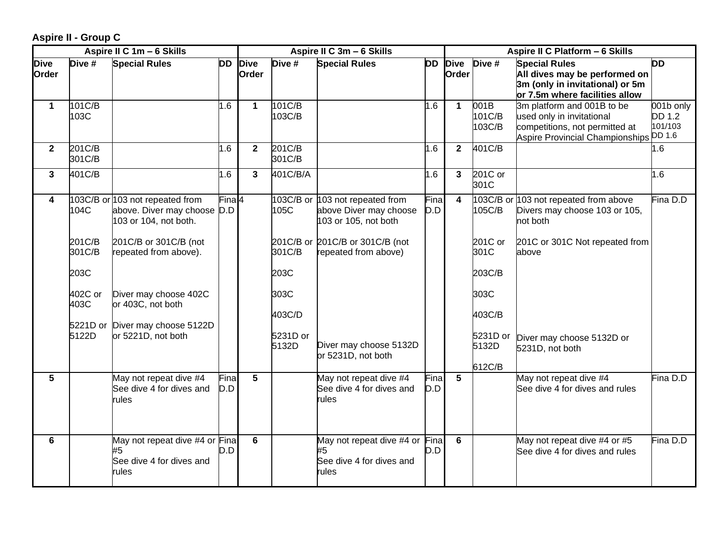**Aspire II - Group C**

|                      |                  | Aspire II C 1m - 6 Skills                                                               |             |                      |                             | Aspire II C 3m - 6 Skills                                                         | Aspire II C Platform - 6 Skills |                         |                                       |                                                                                                                                     |                                       |
|----------------------|------------------|-----------------------------------------------------------------------------------------|-------------|----------------------|-----------------------------|-----------------------------------------------------------------------------------|---------------------------------|-------------------------|---------------------------------------|-------------------------------------------------------------------------------------------------------------------------------------|---------------------------------------|
| <b>Dive</b><br>Order | Dive #           | <b>Special Rules</b>                                                                    | DD          | <b>Dive</b><br>Order | Dive #                      | <b>Special Rules</b>                                                              | <b>DD</b>                       | <b>Dive</b><br>Order    | Dive #                                | <b>Special Rules</b><br>All dives may be performed on<br>3m (only in invitational) or 5m<br>or 7.5m where facilities allow          | <b>DD</b>                             |
| $\mathbf 1$          | 101C/B<br>103C   |                                                                                         | 1.6         | $\blacktriangleleft$ | 101C/B<br>103C/B            |                                                                                   | 1.6                             | $\mathbf 1$             | 001B<br>101C/B<br>103C/B              | 3m platform and 001B to be<br>used only in invitational<br>competitions, not permitted at<br>Aspire Provincial Championships DD 1.6 | 001b only<br><b>DD 1.2</b><br>101/103 |
| $\mathbf{2}$         | 201C/B<br>301C/B |                                                                                         | 1.6         | $\mathbf{2}$         | 201C/B<br>301C/B            |                                                                                   | 1.6                             | $\overline{2}$          | 401C/B                                |                                                                                                                                     | 1.6                                   |
| 3                    | 401C/B           |                                                                                         | 1.6         | 3                    | 401C/B/A                    |                                                                                   | 0.1                             | $\mathbf{3}$            | 201C or<br>301C                       |                                                                                                                                     | 1.6                                   |
| 4                    | 104C             | 103C/B or 103 not repeated from<br>above. Diver may choose D.D<br>103 or 104, not both. | Fina $ 4 $  |                      | 105C                        | 103C/B or 103 not repeated from<br>above Diver may choose<br>103 or 105, not both | Fina<br>D.D                     | $\overline{\mathbf{4}}$ | 105C/B                                | 103C/B or 103 not repeated from above<br>Divers may choose 103 or 105,<br>not both                                                  | Fina D.D                              |
|                      | 201C/B<br>301C/B | 201C/B or 301C/B (not<br>repeated from above).                                          |             |                      | 301C/B                      | 201C/B or 201C/B or 301C/B (not<br>repeated from above)                           |                                 |                         | 201C or<br>301C                       | 201C or 301C Not repeated from<br>above                                                                                             |                                       |
|                      | 203C             |                                                                                         |             |                      | 203C                        |                                                                                   |                                 |                         | 203C/B                                |                                                                                                                                     |                                       |
|                      | 402C or<br>403C  | Diver may choose 402C<br>or 403C, not both                                              |             |                      | 303C                        |                                                                                   |                                 |                         | 303C                                  |                                                                                                                                     |                                       |
|                      | 5122D            | 5221D or Diver may choose 5122D<br>or 5221D, not both                                   |             |                      | 403C/D<br>5231D or<br>5132D | Diver may choose 5132D<br>or 5231D, not both                                      |                                 |                         | 403C/B<br>5231D or<br>5132D<br>612C/B | Diver may choose 5132D or<br>5231D, not both                                                                                        |                                       |
| $5\phantom{.0}$      |                  | May not repeat dive #4<br>See dive 4 for dives and<br>rules                             | Fina<br>D.D | 5                    |                             | May not repeat dive #4<br>See dive 4 for dives and<br>rules                       | Fina<br>D.D                     | $\overline{\mathbf{5}}$ |                                       | May not repeat dive #4<br>See dive 4 for dives and rules                                                                            | Fina D.D                              |
| 6                    |                  | May not repeat dive #4 or Fina<br>#5<br>See dive 4 for dives and<br>rules               | D.D         | 6                    |                             | May not repeat dive #4 or Fina<br>#5<br>See dive 4 for dives and<br>rules         | D.D                             | 6                       |                                       | May not repeat dive #4 or #5<br>See dive 4 for dives and rules                                                                      | Fina D.D                              |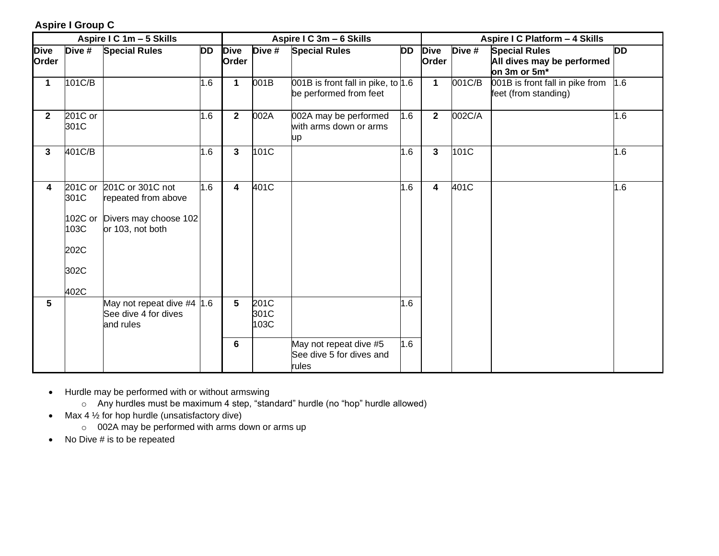#### **Aspire I Group C**

|                      |                                                            | Aspire I C 1m - 5 Skills                                                             |           |                         |                      | Aspire I C 3m - 6 Skills                                     |     | Aspire I C Platform - 4 Skills |        |                                                                    |           |
|----------------------|------------------------------------------------------------|--------------------------------------------------------------------------------------|-----------|-------------------------|----------------------|--------------------------------------------------------------|-----|--------------------------------|--------|--------------------------------------------------------------------|-----------|
| <b>Dive</b><br>Order | Dive #                                                     | <b>Special Rules</b>                                                                 | <b>DD</b> | <b>Dive</b><br>Order    | Dive #               | <b>Special Rules</b>                                         | DD  | <b>Dive</b><br>Order           | Dive # | <b>Special Rules</b><br>All dives may be performed<br>on 3m or 5m* | <b>DD</b> |
| 1                    | 101C/B                                                     |                                                                                      | 1.6       | $\mathbf{1}$            | 001B                 | 001B is front fall in pike, to 1.6<br>be performed from feet |     | $\mathbf{1}$                   | 001C/B | 001B is front fall in pike from<br>feet (from standing)            | 1.6       |
| $\mathbf{2}$         | 201C or<br>301C                                            |                                                                                      | 1.6       | $\mathbf{2}$            | 002A                 | 002A may be performed<br>with arms down or arms<br>up        | 1.6 | $\overline{2}$                 | 002C/A |                                                                    | 1.6       |
| 3                    | 401C/B                                                     |                                                                                      | 1.6       | $\mathbf{3}$            | 101C                 |                                                              | 1.6 | $\mathbf{3}$                   | 101C   |                                                                    | 1.6       |
| 4                    | 201C or<br>301C<br>102C or<br>103C<br>202C<br>302C<br>402C | 201C or 301C not<br>repeated from above<br>Divers may choose 102<br>or 103, not both | 1.6       | $\overline{\mathbf{4}}$ | 401C                 |                                                              | 1.6 | 4                              | 401C   |                                                                    | 1.6       |
| $5\phantom{1}$       |                                                            | May not repeat dive #4 $ 1.6 $<br>See dive 4 for dives<br>and rules                  |           | 5                       | 201C<br>301C<br>103C |                                                              | 1.6 |                                |        |                                                                    |           |
|                      |                                                            |                                                                                      |           | 6                       |                      | May not repeat dive #5<br>See dive 5 for dives and<br>rules  | 1.6 |                                |        |                                                                    |           |

- Hurdle may be performed with or without armswing
	- o Any hurdles must be maximum 4 step, "standard" hurdle (no "hop" hurdle allowed)
- Max  $4\frac{1}{2}$  for hop hurdle (unsatisfactory dive)
	- o 002A may be performed with arms down or arms up
- No Dive # is to be repeated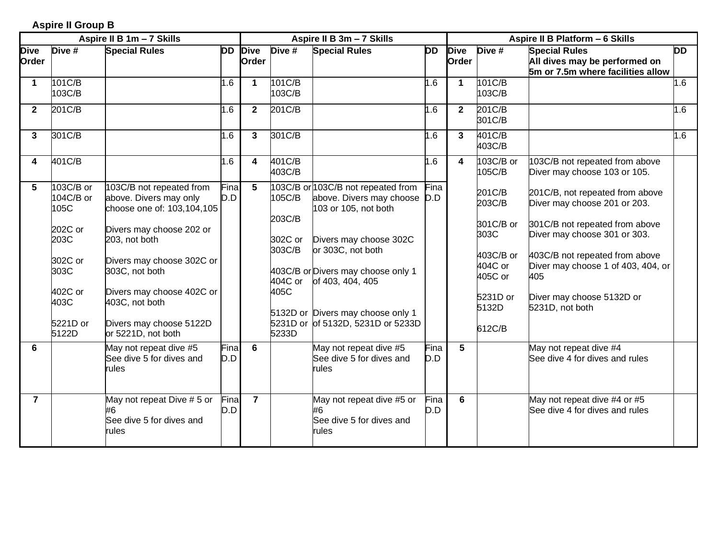#### **Aspire II Group B**

|                      | Aspire II B 1m - 7 Skills      |                                                                                  |             |                      |                             | Aspire II B 3m - 7 Skills                                                              |             | Aspire II B Platform - 6 Skills |                                 |                                                                                            |           |  |
|----------------------|--------------------------------|----------------------------------------------------------------------------------|-------------|----------------------|-----------------------------|----------------------------------------------------------------------------------------|-------------|---------------------------------|---------------------------------|--------------------------------------------------------------------------------------------|-----------|--|
| <b>Dive</b><br>Order | Dive #                         | <b>Special Rules</b>                                                             | DD          | <b>Dive</b><br>Order | Dive #                      | <b>Special Rules</b>                                                                   | DD          | <b>Dive</b><br>Order            | Dive #                          | <b>Special Rules</b><br>All dives may be performed on<br>5m or 7.5m where facilities allow | <b>DD</b> |  |
| 1                    | 101C/B<br>103C/B               |                                                                                  | 1.6         | $\blacktriangleleft$ | 101C/B<br>103C/B            |                                                                                        | 1.6         | $\mathbf{1}$                    | 101C/B<br>103C/B                |                                                                                            | 1.6       |  |
| $\mathbf{2}$         | 201C/B                         |                                                                                  | 1.6         | $\mathbf{2}$         | 201C/B                      |                                                                                        | 1.6         | $\mathbf{2}$                    | 201C/B<br>301C/B                |                                                                                            | 1.6       |  |
| 3                    | 301C/B                         |                                                                                  | 1.6         | 3                    | 301C/B                      |                                                                                        | 1.6         | 3                               | 401C/B<br>403C/B                |                                                                                            | $.6\,$    |  |
| 4                    | 401C/B                         |                                                                                  | 1.6         | 4                    | 401C/B<br>403C/B            |                                                                                        | 1.6         | 4                               | 103C/B or<br>105C/B             | 103C/B not repeated from above<br>Diver may choose 103 or 105.                             |           |  |
| 5.                   | 103C/B or<br>104C/B or<br>105C | 103C/B not repeated from<br>above. Divers may only<br>choose one of: 103,104,105 | Fina<br>D.D | $5\overline{)}$      | 105C/B                      | 103C/B or 103C/B not repeated from<br>above. Divers may choose<br>103 or 105, not both | Fina<br>D.D |                                 | 201C/B<br>203C/B                | 201C/B, not repeated from above<br>Diver may choose 201 or 203.                            |           |  |
|                      | 202C or<br>203C                | Divers may choose 202 or<br>203, not both                                        |             |                      | 203C/B<br>302C or<br>303C/B | Divers may choose 302C<br>or 303C, not both                                            |             |                                 | 301C/B or<br>303C               | 301C/B not repeated from above<br>Diver may choose 301 or 303.                             |           |  |
|                      | 302C or<br>303C                | Divers may choose 302C or<br>303C, not both                                      |             |                      | 404C or                     | 403C/B or Divers may choose only 1<br>of 403, 404, 405                                 |             |                                 | 403C/B or<br>404C or<br>405C or | 403C/B not repeated from above<br>Diver may choose 1 of 403, 404, or<br>405                |           |  |
|                      | 402C or<br>403C                | Divers may choose 402C or<br>403C, not both                                      |             |                      | 405C                        | 5132D or Divers may choose only 1                                                      |             |                                 | 5231D or<br>5132D               | Diver may choose 5132D or<br>5231D, not both                                               |           |  |
|                      | 5221D or<br>5122D              | Divers may choose 5122D<br>or 5221D, not both                                    |             |                      | 5233D                       | 5231D or of 5132D, 5231D or 5233D                                                      |             |                                 | 612C/B                          |                                                                                            |           |  |
| 6                    |                                | May not repeat dive #5<br>See dive 5 for dives and<br>rules                      | Fina<br>D.D | $6\phantom{1}$       |                             | May not repeat dive #5<br>See dive 5 for dives and<br>rules                            | Fina<br>D.D | $5\phantom{1}$                  |                                 | May not repeat dive #4<br>See dive 4 for dives and rules                                   |           |  |
| $\overline{7}$       |                                | May not repeat Dive # 5 or<br>#6<br>See dive 5 for dives and<br>rules            | Fina<br>D.D | $\overline{7}$       |                             | May not repeat dive #5 or<br>#6<br>See dive 5 for dives and<br>rules                   | Fina<br>D.D | 6                               |                                 | May not repeat dive #4 or #5<br>See dive 4 for dives and rules                             |           |  |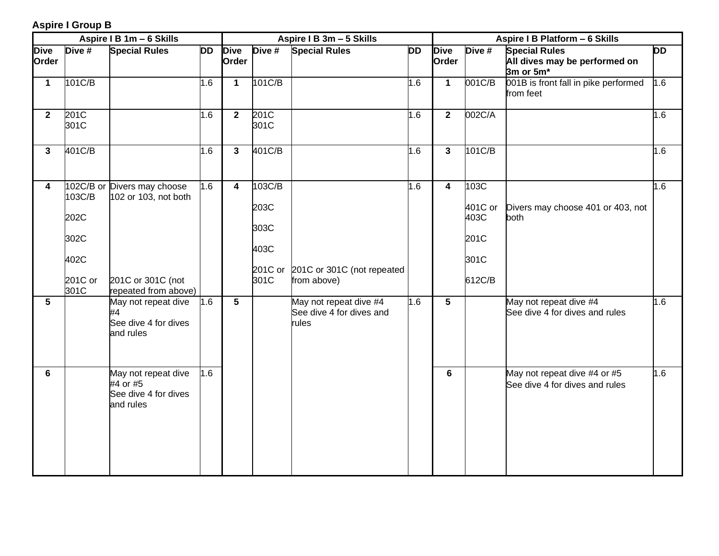#### **Aspire I Group B**

|                      |                                                   | Aspire I B 1m - 6 Skills                                                                         |           |                         |                                        | Aspire I B 3m - 5 Skills                                    |           | Aspire I B Platform - 6 Skills |                                                   |                                                                    |           |
|----------------------|---------------------------------------------------|--------------------------------------------------------------------------------------------------|-----------|-------------------------|----------------------------------------|-------------------------------------------------------------|-----------|--------------------------------|---------------------------------------------------|--------------------------------------------------------------------|-----------|
| <b>Dive</b><br>Order | Dive #                                            | <b>Special Rules</b>                                                                             | <b>DD</b> | <b>Dive</b><br>Order    | Dive #                                 | <b>Special Rules</b>                                        | <b>DD</b> | <b>Dive</b><br>Order           | Dive #                                            | <b>Special Rules</b><br>All dives may be performed on<br>3m or 5m* | <b>DD</b> |
| $\mathbf{1}$         | 101C/B                                            |                                                                                                  | 1.6       | $\mathbf 1$             | 101C/B                                 |                                                             | 1.6       | $\mathbf{1}$                   | 001C/B                                            | 001B is front fall in pike performed<br>from feet                  | 1.6       |
| $\overline{2}$       | 201C<br>301C                                      |                                                                                                  | 1.6       | $\overline{2}$          | 201C<br>301C                           |                                                             | 1.6       | $\mathbf{2}$                   | 002C/A                                            |                                                                    | 1.6       |
| $\mathbf{3}$         | 401C/B                                            |                                                                                                  | 1.6       | 3                       | 401C/B                                 |                                                             | 1.6       | 3                              | 101C/B                                            |                                                                    | 1.6       |
| 4                    | 103C/B<br>202C<br>302C<br>402C<br>201C or<br>301C | 102C/B or Divers may choose<br>102 or 103, not both<br>201C or 301C (not<br>repeated from above) | 1.6       | $\overline{\mathbf{4}}$ | 103C/B<br>203C<br>303C<br>403C<br>301C | 201C or 201C or 301C (not repeated<br>from above)           | 1.6       | $\overline{\mathbf{4}}$        | 103C<br>401C or<br>403C<br>201C<br>301C<br>612C/B | Divers may choose 401 or 403, not<br>both                          | 1.6       |
| 5                    |                                                   | May not repeat dive<br>#4<br>See dive 4 for dives<br>and rules                                   | 1.6       | 5                       |                                        | May not repeat dive #4<br>See dive 4 for dives and<br>rules | 1.6       | $5\phantom{.0}$                |                                                   | May not repeat dive #4<br>See dive 4 for dives and rules           | 1.6       |
| 6                    |                                                   | May not repeat dive<br>#4 or #5<br>See dive 4 for dives<br>and rules                             | 1.6       |                         |                                        |                                                             |           | 6                              |                                                   | May not repeat dive #4 or #5<br>See dive 4 for dives and rules     | 1.6       |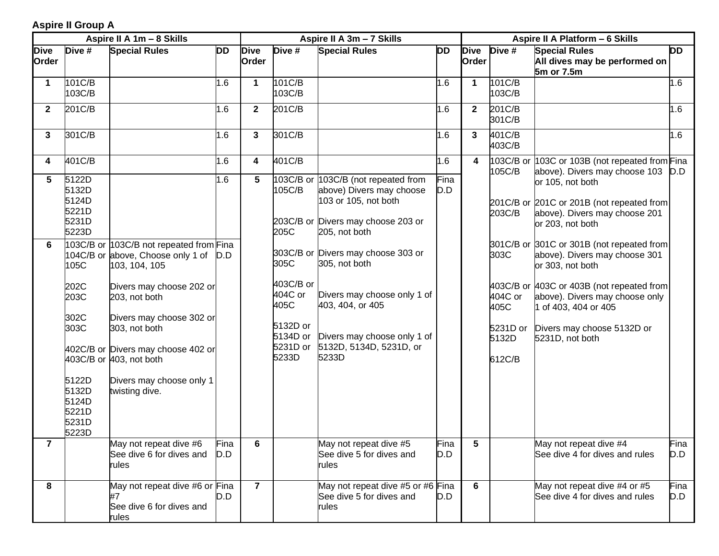#### **Aspire II Group A**

|                      |                                                                                                                                         | Aspire II A 1m - 8 Skills                                                                                                                                                                                                                                                                              |             |                         |                                                                                         | Aspire II A 3m - 7 Skills                                                                                                                                                                                                                                                                                                            | Aspire II A Platform - 6 Skills |                      |                                                                  |                                                                                                                                                                                                                                                                                                                                                                              |             |
|----------------------|-----------------------------------------------------------------------------------------------------------------------------------------|--------------------------------------------------------------------------------------------------------------------------------------------------------------------------------------------------------------------------------------------------------------------------------------------------------|-------------|-------------------------|-----------------------------------------------------------------------------------------|--------------------------------------------------------------------------------------------------------------------------------------------------------------------------------------------------------------------------------------------------------------------------------------------------------------------------------------|---------------------------------|----------------------|------------------------------------------------------------------|------------------------------------------------------------------------------------------------------------------------------------------------------------------------------------------------------------------------------------------------------------------------------------------------------------------------------------------------------------------------------|-------------|
| <b>Dive</b><br>Order | Dive #                                                                                                                                  | <b>Special Rules</b>                                                                                                                                                                                                                                                                                   | <b>DD</b>   | <b>Dive</b><br>Order    | Dive #                                                                                  | <b>Special Rules</b>                                                                                                                                                                                                                                                                                                                 | <b>DD</b>                       | <b>Dive</b><br>Order | Dive #                                                           | <b>Special Rules</b><br>All dives may be performed on<br>5m or 7.5m                                                                                                                                                                                                                                                                                                          | DD          |
| $\mathbf 1$          | 101C/B<br>103C/B                                                                                                                        |                                                                                                                                                                                                                                                                                                        | 1.6         | $\mathbf{1}$            | 101C/B<br>103C/B                                                                        |                                                                                                                                                                                                                                                                                                                                      | 1.6                             | $\mathbf 1$          | 101C/B<br>103C/B                                                 |                                                                                                                                                                                                                                                                                                                                                                              | 1.6         |
| $\mathbf{2}$         | 201C/B                                                                                                                                  |                                                                                                                                                                                                                                                                                                        | 1.6         | $\mathbf{2}$            | 201C/B                                                                                  |                                                                                                                                                                                                                                                                                                                                      | 1.6                             | $\mathbf{2}$         | 201C/B<br>301C/B                                                 |                                                                                                                                                                                                                                                                                                                                                                              | 1.6         |
| 3                    | 301C/B                                                                                                                                  |                                                                                                                                                                                                                                                                                                        | 1.6         | $\overline{\mathbf{3}}$ | 301C/B                                                                                  |                                                                                                                                                                                                                                                                                                                                      | 1.6                             | $\mathbf{3}$         | 401C/B<br>403C/B                                                 |                                                                                                                                                                                                                                                                                                                                                                              | 1.6         |
| 4                    | 401C/B                                                                                                                                  |                                                                                                                                                                                                                                                                                                        | 1.6         | 4                       | 401C/B                                                                                  |                                                                                                                                                                                                                                                                                                                                      | 1.6                             | 4                    | 105C/B                                                           | 103C/B or 103C or 103B (not repeated from Fina<br>above). Divers may choose 103 D.D                                                                                                                                                                                                                                                                                          |             |
| 5<br>6               | 5122D<br>5132D<br>5124D<br>5221D<br>5231D<br>5223D<br>105C<br>202C<br>203C<br>302C<br>303C<br>5122D<br>5132D<br>5124D<br>5221D<br>5231D | 103C/B or 103C/B not repeated from Fina<br>104C/B or above, Choose only 1 of<br>103, 104, 105<br>Divers may choose 202 or<br>203, not both<br>Divers may choose 302 or<br>303, not both<br>402C/B or Divers may choose 402 or<br>403C/B or 403, not both<br>Divers may choose only 1<br>twisting dive. | 1.6<br>D.D  | 5                       | 105C/B<br>205C<br>305C<br>403C/B or<br>404C or<br>405C<br>5132D or<br>5134D or<br>5233D | 103C/B or 103C/B (not repeated from<br>above) Divers may choose<br>103 or 105, not both<br>203C/B or Divers may choose 203 or<br>205, not both<br>303C/B or Divers may choose 303 or<br>305, not both<br>Divers may choose only 1 of<br>403, 404, or 405<br>Divers may choose only 1 of<br>5231D or 5132D, 5134D, 5231D, or<br>5233D | Fina<br>D.D                     |                      | 203C/B<br>303C<br>404C or<br>405C<br>5231D or<br>5132D<br>612C/B | or 105, not both<br>201C/B or 201C or 201B (not repeated from<br>above). Divers may choose 201<br>or 203, not both<br>301C/B or 301C or 301B (not repeated from<br>above). Divers may choose 301<br>or 303, not both<br>403C/B or 403C or 403B (not repeated from<br>above). Divers may choose only<br>1 of 403, 404 or 405<br>Divers may choose 5132D or<br>5231D, not both |             |
| $\overline{7}$       | 5223D                                                                                                                                   | May not repeat dive #6<br>See dive 6 for dives and<br>rules                                                                                                                                                                                                                                            | Fina<br>D.D | $6\phantom{1}$          |                                                                                         | May not repeat dive #5<br>See dive 5 for dives and<br>rules                                                                                                                                                                                                                                                                          | Fina<br>D.D                     | 5                    |                                                                  | May not repeat dive #4<br>See dive 4 for dives and rules                                                                                                                                                                                                                                                                                                                     | Fina<br>D.D |
| 8                    |                                                                                                                                         | May not repeat dive #6 or Fina<br>#7<br>See dive 6 for dives and<br>rules                                                                                                                                                                                                                              | D.D         | $\overline{7}$          |                                                                                         | May not repeat dive #5 or #6 Fina<br>See dive 5 for dives and<br>rules                                                                                                                                                                                                                                                               | D.D                             | 6                    |                                                                  | May not repeat dive #4 or #5<br>See dive 4 for dives and rules                                                                                                                                                                                                                                                                                                               | Fina<br>D.D |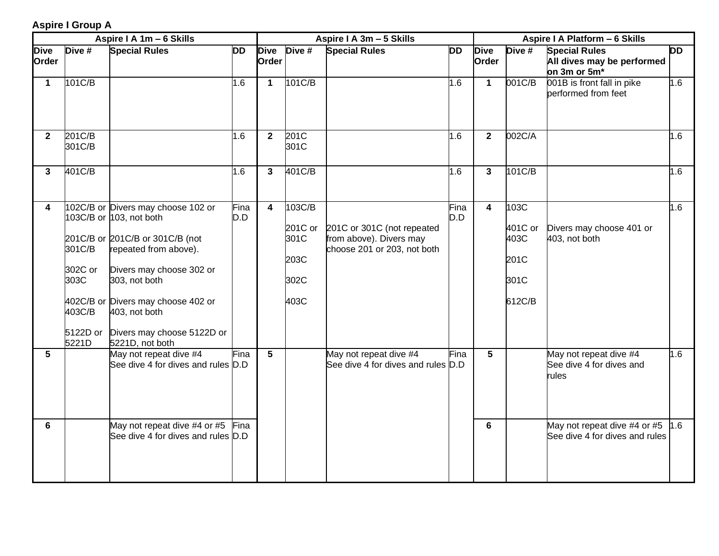#### **Aspire I Group A**

|                      |                                                          | Aspire I A 1m - 6 Skills                                                                                                                                                                                                                                                       |             |                         |                                                   | Aspire I A 3m - 5 Skills                                                             |             | Aspire I A Platform - 6 Skills |                                                   |                                                                    |           |
|----------------------|----------------------------------------------------------|--------------------------------------------------------------------------------------------------------------------------------------------------------------------------------------------------------------------------------------------------------------------------------|-------------|-------------------------|---------------------------------------------------|--------------------------------------------------------------------------------------|-------------|--------------------------------|---------------------------------------------------|--------------------------------------------------------------------|-----------|
| <b>Dive</b><br>Order | Dive #                                                   | <b>Special Rules</b>                                                                                                                                                                                                                                                           | <b>DD</b>   | <b>Dive</b><br>Order    | Dive #                                            | <b>Special Rules</b>                                                                 | DD          | <b>Dive</b><br>Order           | Dive #                                            | <b>Special Rules</b><br>All dives may be performed<br>on 3m or 5m* | <b>DD</b> |
| $\mathbf{1}$         | 101C/B                                                   |                                                                                                                                                                                                                                                                                | 1.6         | $\mathbf{1}$            | 101C/B                                            |                                                                                      | 1.6         | 1                              | 001C/B                                            | 001B is front fall in pike<br>performed from feet                  | 1.6       |
| $\mathbf{2}$         | 201C/B<br>301C/B                                         |                                                                                                                                                                                                                                                                                | 1.6         | $\mathbf{2}$            | 201C<br>301C                                      |                                                                                      | 1.6         | $\mathbf{2}$                   | 002C/A                                            |                                                                    | 1.6       |
| $\mathbf{3}$         | 401C/B                                                   |                                                                                                                                                                                                                                                                                | 1.6         | $\mathbf{3}$            | 401C/B                                            |                                                                                      | 1.6         | $\mathbf{3}$                   | 101C/B                                            |                                                                    | 1.6       |
| 4                    | 301C/B<br>302C or<br>303C<br>403C/B<br>5122D or<br>5221D | 102C/B or Divers may choose 102 or<br>103C/B or 103, not both<br>201C/B or 201C/B or 301C/B (not<br>repeated from above).<br>Divers may choose 302 or<br>303, not both<br>402C/B or Divers may choose 402 or<br>403, not both<br>Divers may choose 5122D or<br>5221D, not both | Fina<br>D.D | $\overline{\mathbf{4}}$ | 103C/B<br>201C or<br>301C<br>203C<br>302C<br>403C | 201C or 301C (not repeated<br>from above). Divers may<br>choose 201 or 203, not both | Fina<br>D.D | $\overline{\mathbf{4}}$        | 103C<br>401C or<br>403C<br>201C<br>301C<br>612C/B | Divers may choose 401 or<br>403, not both                          | 1.6       |
| 5                    |                                                          | May not repeat dive #4<br>See dive 4 for dives and rules D.D                                                                                                                                                                                                                   | Fina        | $5\overline{)}$         |                                                   | May not repeat dive #4<br>See dive 4 for dives and rules D.D                         | Fina        | 5                              |                                                   | May not repeat dive #4<br>See dive 4 for dives and<br>rules        | 1.6       |
| 6                    |                                                          | May not repeat dive #4 or #5<br>See dive 4 for dives and rules D.D                                                                                                                                                                                                             | Fina        |                         |                                                   |                                                                                      |             | 6                              |                                                   | May not repeat dive #4 or #5<br>See dive 4 for dives and rules     | 1.6       |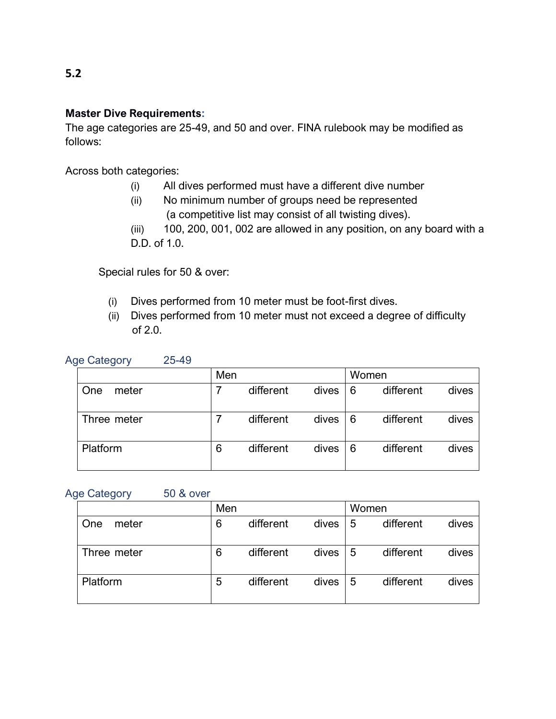#### **Master Dive Requirements:**

The age categories are 25-49, and 50 and over. FINA rulebook may be modified as follows:

Across both categories:

- (i) All dives performed must have a different dive number
- (ii) No minimum number of groups need be represented (a competitive list may consist of all twisting dives).
- (iii) 100, 200, 001, 002 are allowed in any position, on any board with a D.D. of 1.0.

Special rules for 50 & over:

- (i) Dives performed from 10 meter must be foot-first dives.
- (ii) Dives performed from 10 meter must not exceed a degree of difficulty of 2.0.

|  | <b>Age Category</b> | 25-49 |
|--|---------------------|-------|
|--|---------------------|-------|

|              | Men |           |       |   | Women     |       |
|--------------|-----|-----------|-------|---|-----------|-------|
| One<br>meter |     | different | dives | 6 | different | dives |
| Three meter  |     | different | dives | 6 | different | dives |
| Platform     | 6   | different | dives | 6 | different | dives |

Age Category 50 & over

|                     | Men |           |       |   | Women     |       |  |  |
|---------------------|-----|-----------|-------|---|-----------|-------|--|--|
| meter<br><b>One</b> | 6   | different | dives | 5 | different | dives |  |  |
| Three meter         | 6   | different | dives | 5 | different | dives |  |  |
| Platform            | 5   | different | dives | 5 | different | dives |  |  |

### **5.2**